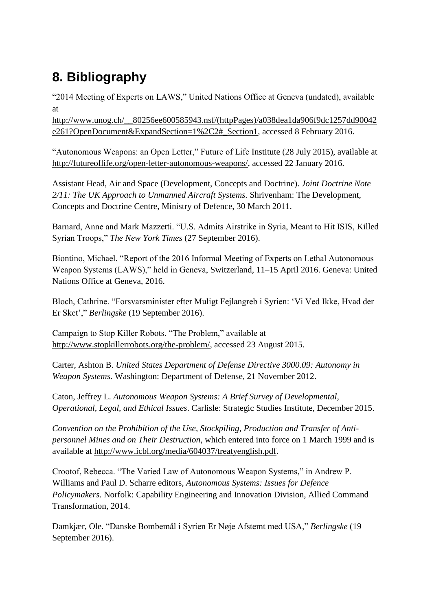## **8. Bibliography**

"2014 Meeting of Experts on LAWS," United Nations Office at Geneva (undated), available at

[http://www.unog.ch/\\_\\_80256ee600585943.nsf/\(httpPages\)/a038dea1da906f9dc1257dd90042](http://www.unog.ch/__80256ee600585943.nsf/(httpPages)/a038dea1da906f9dc1257dd90042e261?OpenDocument&ExpandSection=1%2C2#_Section1) [e261?OpenDocument&ExpandSection=1%2C2#\\_Section1,](http://www.unog.ch/__80256ee600585943.nsf/(httpPages)/a038dea1da906f9dc1257dd90042e261?OpenDocument&ExpandSection=1%2C2#_Section1) accessed 8 February 2016.

"Autonomous Weapons: an Open Letter," Future of Life Institute (28 July 2015), available at [http://futureoflife.org/open-letter-autonomous-weapons/,](http://futureoflife.org/open-letter-autonomous-weapons/) accessed 22 January 2016.

Assistant Head, Air and Space (Development, Concepts and Doctrine). *Joint Doctrine Note 2/11: The UK Approach to Unmanned Aircraft Systems.* Shrivenham: The Development, Concepts and Doctrine Centre, Ministry of Defence, 30 March 2011.

Barnard, Anne and Mark Mazzetti. "U.S. Admits Airstrike in Syria, Meant to Hit ISIS, Killed Syrian Troops," *The New York Times* (27 September 2016).

Biontino, Michael. "Report of the 2016 Informal Meeting of Experts on Lethal Autonomous Weapon Systems (LAWS)," held in Geneva, Switzerland, 11–15 April 2016. Geneva: United Nations Office at Geneva, 2016.

Bloch, Cathrine. "Forsvarsminister efter Muligt Fejlangreb i Syrien: 'Vi Ved Ikke, Hvad der Er Sket'," *Berlingske* (19 September 2016).

Campaign to Stop Killer Robots. "The Problem," available at [http://www.stopkillerrobots.org/the-problem/,](http://www.stopkillerrobots.org/the-problem/) accessed 23 August 2015.

Carter, Ashton B. *United States Department of Defense Directive 3000.09: Autonomy in Weapon Systems*. Washington: Department of Defense, 21 November 2012.

Caton, Jeffrey L. *Autonomous Weapon Systems: A Brief Survey of Developmental, Operational, Legal, and Ethical Issues*. Carlisle: Strategic Studies Institute, December 2015.

*Convention on the Prohibition of the Use, Stockpiling, Production and Transfer of Antipersonnel Mines and on Their Destruction*, which entered into force on 1 March 1999 and is available at [http://www.icbl.org/media/604037/treatyenglish.pdf.](http://www.icbl.org/media/604037/treatyenglish.pdf)

Crootof, Rebecca. "The Varied Law of Autonomous Weapon Systems," in Andrew P. Williams and Paul D. Scharre editors, *Autonomous Systems: Issues for Defence Policymakers*. Norfolk: Capability Engineering and Innovation Division, Allied Command Transformation, 2014.

Damkjær, Ole. "Danske Bombemål i Syrien Er Nøje Afstemt med USA," *Berlingske* (19 September 2016).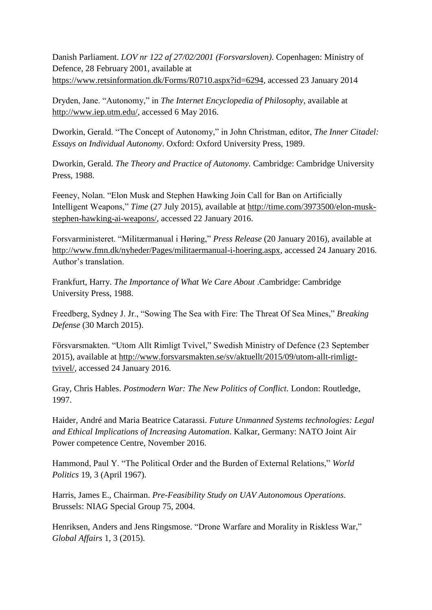Danish Parliament. *LOV nr 122 af 27/02/2001 (Forsvarsloven)*. Copenhagen: Ministry of Defence, 28 February 2001, available at [https://www.retsinformation.dk/Forms/R0710.aspx?id=6294,](https://www.retsinformation.dk/Forms/R0710.aspx?id=6294) accessed 23 January 2014

Dryden, Jane. "Autonomy," in *The Internet Encyclopedia of Philosophy*, available at [http://www.iep.utm.edu/,](http://www.iep.utm.edu/) accessed 6 May 2016.

Dworkin, Gerald. "The Concept of Autonomy," in John Christman, editor, *The Inner Citadel: Essays on Individual Autonomy*. Oxford: Oxford University Press, 1989.

Dworkin, Gerald. *The Theory and Practice of Autonomy.* Cambridge: Cambridge University Press, 1988.

Feeney, Nolan. "Elon Musk and Stephen Hawking Join Call for Ban on Artificially Intelligent Weapons," *Time* (27 July 2015), available at [http://time.com/3973500/elon-musk](http://time.com/3973500/elon-musk-stephen-hawking-ai-weapons/)[stephen-hawking-ai-weapons/,](http://time.com/3973500/elon-musk-stephen-hawking-ai-weapons/) accessed 22 January 2016.

Forsvarministeret. "Militærmanual i Høring," *Press Release* (20 January 2016), available at [http://www.fmn.dk/nyheder/Pages/militaermanual-i-hoering.aspx,](http://www.fmn.dk/nyheder/Pages/militaermanual-i-hoering.aspx) accessed 24 January 2016. Author's translation.

Frankfurt, Harry. *The Importance of What We Care About* .Cambridge: Cambridge University Press, 1988.

Freedberg, Sydney J. Jr., "Sowing The Sea with Fire: The Threat Of Sea Mines," *Breaking Defense* (30 March 2015).

Försvarsmakten. "Utom Allt Rimligt Tvivel," Swedish Ministry of Defence (23 September 2015), available at [http://www.forsvarsmakten.se/sv/aktuellt/2015/09/utom-allt-rimligt](http://www.forsvarsmakten.se/sv/aktuellt/2015/09/utom-allt-rimligt-tvivel/)[tvivel/,](http://www.forsvarsmakten.se/sv/aktuellt/2015/09/utom-allt-rimligt-tvivel/) accessed 24 January 2016.

Gray, Chris Hables. *Postmodern War: The New Politics of Conflict.* London: Routledge, 1997.

Haider, André and Maria Beatrice Catarassi. *Future Unmanned Systems technologies: Legal and Ethical Implications of Increasing Automation*. Kalkar, Germany: NATO Joint Air Power competence Centre, November 2016.

Hammond, Paul Y. "The Political Order and the Burden of External Relations," *World Politics* 19, 3 (April 1967).

Harris, James E., Chairman. *Pre-Feasibility Study on UAV Autonomous Operations*. Brussels: NIAG Special Group 75, 2004.

Henriksen, Anders and Jens Ringsmose. "Drone Warfare and Morality in Riskless War," *Global Affairs* 1, 3 (2015).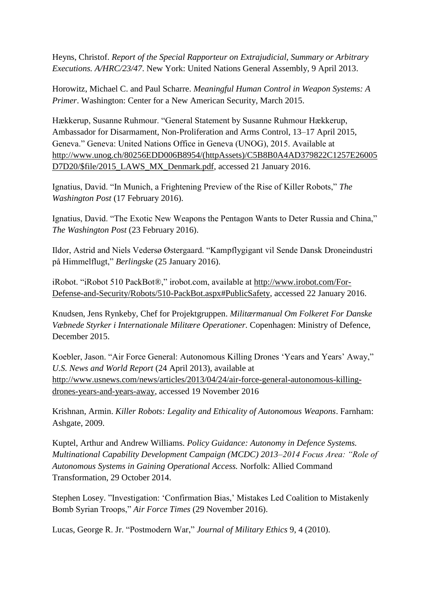Heyns, Christof. *Report of the Special Rapporteur on Extrajudicial, Summary or Arbitrary Executions. A/HRC/23/47*. New York: United Nations General Assembly, 9 April 2013.

Horowitz, Michael C. and Paul Scharre. *Meaningful Human Control in Weapon Systems: A Primer*. Washington: Center for a New American Security, March 2015.

Hækkerup, Susanne Ruhmour. "General Statement by Susanne Ruhmour Hækkerup, Ambassador for Disarmament, Non-Proliferation and Arms Control, 13–17 April 2015, Geneva." Geneva: United Nations Office in Geneva (UNOG), 2015. Available at [http://www.unog.ch/80256EDD006B8954/\(httpAssets\)/C5B8B0A4AD379822C1257E26005](http://www.unog.ch/80256EDD006B8954/(httpAssets)/C5B8B0A4AD379822C1257E26005D7D20/$file/2015_LAWS_MX_Denmark.pdf) [D7D20/\\$file/2015\\_LAWS\\_MX\\_Denmark.pdf,](http://www.unog.ch/80256EDD006B8954/(httpAssets)/C5B8B0A4AD379822C1257E26005D7D20/$file/2015_LAWS_MX_Denmark.pdf) accessed 21 January 2016.

Ignatius, David. "In Munich, a Frightening Preview of the Rise of Killer Robots," *The Washington Post* (17 February 2016).

Ignatius, David. "The Exotic New Weapons the Pentagon Wants to Deter Russia and China," *The Washington Post* (23 February 2016).

Ildor, Astrid and Niels Vedersø Østergaard. "Kampflygigant vil Sende Dansk Droneindustri på Himmelflugt," *Berlingske* (25 January 2016).

iRobot. "iRobot 510 PackBot®," irobot.com, available at [http://www.irobot.com/For-](http://www.irobot.com/For-Defense-and-Security/Robots/510-PackBot.aspx#PublicSafety)[Defense-and-Security/Robots/510-PackBot.aspx#PublicSafety,](http://www.irobot.com/For-Defense-and-Security/Robots/510-PackBot.aspx#PublicSafety) accessed 22 January 2016.

Knudsen, Jens Rynkeby, Chef for Projektgruppen. *Militærmanual Om Folkeret For Danske Væbnede Styrker i Internationale Militære Operationer.* Copenhagen: Ministry of Defence, December 2015.

Koebler, Jason. "Air Force General: Autonomous Killing Drones 'Years and Years' Away," *U.S. News and World Report* (24 April 2013), available at [http://www.usnews.com/news/articles/2013/04/24/air-force-general-autonomous-killing](http://www.usnews.com/news/articles/2013/04/24/air-force-general-autonomous-killing-drones-years-and-years-away)[drones-years-and-years-away,](http://www.usnews.com/news/articles/2013/04/24/air-force-general-autonomous-killing-drones-years-and-years-away) accessed 19 November 2016

Krishnan, Armin. *Killer Robots: Legality and Ethicality of Autonomous Weapons*. Farnham: Ashgate, 2009.

Kuptel, Arthur and Andrew Williams. *Policy Guidance: Autonomy in Defence Systems. Multinational Capability Development Campaign (MCDC) 2013–2014 Focus Area: "Role of Autonomous Systems in Gaining Operational Access.* Norfolk: Allied Command Transformation, 29 October 2014.

Stephen Losey. "Investigation: 'Confirmation Bias,' Mistakes Led Coalition to Mistakenly Bomb Syrian Troops," *Air Force Times* (29 November 2016).

Lucas, George R. Jr. "Postmodern War," *Journal of Military Ethics* 9, 4 (2010).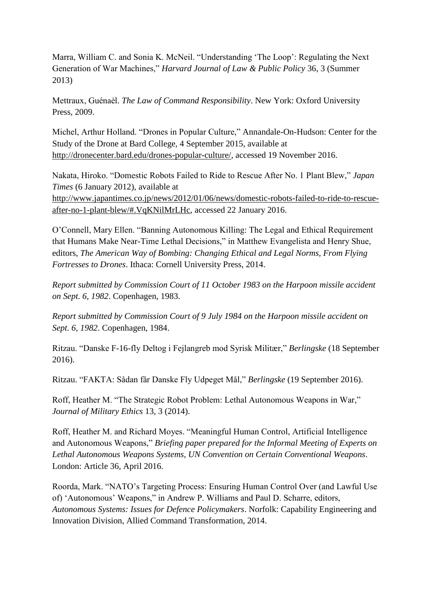Marra, William C. and Sonia K. McNeil. "Understanding 'The Loop': Regulating the Next Generation of War Machines," *Harvard Journal of Law & Public Policy* 36, 3 (Summer 2013)

Mettraux, Guénaėl. *The Law of Command Responsibility*. New York: Oxford University Press, 2009.

Michel, Arthur Holland. "Drones in Popular Culture," Annandale-On-Hudson: Center for the Study of the Drone at Bard College, 4 September 2015, available at [http://dronecenter.bard.edu/drones-popular-culture/,](http://dronecenter.bard.edu/drones-popular-culture/) accessed 19 November 2016.

Nakata, Hiroko. "Domestic Robots Failed to Ride to Rescue After No. 1 Plant Blew," *Japan Times* (6 January 2012), available at [http://www.japantimes.co.jp/news/2012/01/06/news/domestic-robots-failed-to-ride-to-rescue](http://www.japantimes.co.jp/news/2012/01/06/news/domestic-robots-failed-to-ride-to-rescue-after-no-1-plant-blew/#.VqKNilMrLHc)[after-no-1-plant-blew/#.VqKNilMrLHc,](http://www.japantimes.co.jp/news/2012/01/06/news/domestic-robots-failed-to-ride-to-rescue-after-no-1-plant-blew/#.VqKNilMrLHc) accessed 22 January 2016.

O'Connell, Mary Ellen. "Banning Autonomous Killing: The Legal and Ethical Requirement that Humans Make Near-Time Lethal Decisions," in Matthew Evangelista and Henry Shue, editors, *The American Way of Bombing: Changing Ethical and Legal Norms, From Flying Fortresses to Drones*. Ithaca: Cornell University Press, 2014.

*Report submitted by Commission Court of 11 October 1983 on the Harpoon missile accident on Sept. 6, 1982*. Copenhagen, 1983.

*Rep*o*rt submitted by Commission Court of 9 July 1984 on the Harpoon missile accident on Sept. 6, 1982*. Copenhagen, 1984.

Ritzau. "Danske F-16-fly Deltog i Fejlangreb mod Syrisk Militær," *Berlingske* (18 September 2016).

Ritzau. "FAKTA: Sådan får Danske Fly Udpeget Mål," *Berlingske* (19 September 2016).

Roff, Heather M. "The Strategic Robot Problem: Lethal Autonomous Weapons in War," *Journal of Military Ethics* 13, 3 (2014).

Roff, Heather M. and Richard Moyes. "Meaningful Human Control, Artificial Intelligence and Autonomous Weapons," *Briefing paper prepared for the Informal Meeting of Experts on Lethal Autonomous Weapons Systems, UN Convention on Certain Conventional Weapons*. London: Article 36, April 2016.

Roorda, Mark. "NATO's Targeting Process: Ensuring Human Control Over (and Lawful Use of) 'Autonomous' Weapons," in Andrew P. Williams and Paul D. Scharre, editors, *Autonomous Systems: Issues for Defence Policymakers*. Norfolk: Capability Engineering and Innovation Division, Allied Command Transformation, 2014.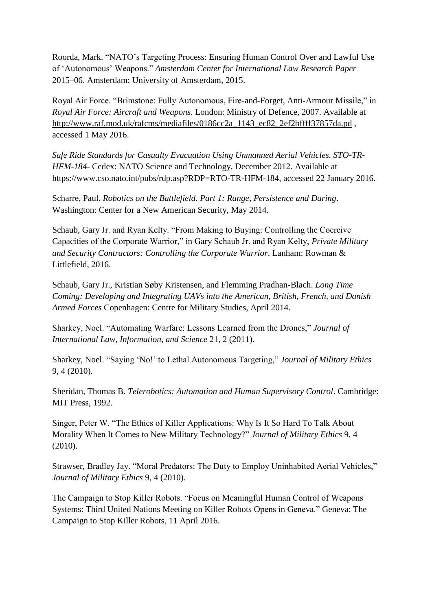Roorda, Mark. "NATO's Targeting Process: Ensuring Human Control Over and Lawful Use of 'Autonomous' Weapons." *Amsterdam Center for International Law Research Paper* 2015–06. Amsterdam: University of Amsterdam, 2015.

Royal Air Force. "Brimstone: Fully Autonomous, Fire-and-Forget, Anti-Armour Missile," in *Royal Air Force: Aircraft and Weapons.* London: Ministry of Defence, 2007. Available at [http://www.raf.mod.uk/rafcms/mediafiles/0186cc2a\\_1143\\_ec82\\_2ef2bffff37857da.pd](http://www.raf.mod.uk/rafcms/mediafiles/0186cc2a_1143_ec82_2ef2bffff37857da.pdf) , accessed 1 May 2016.

*Safe Ride Standards for Casualty Evacuation Using Unmanned Aerial Vehicles. STO-TR-HFM-184*- Cedex: NATO Science and Technology, December 2012. Available at [https://www.cso.nato.int/pubs/rdp.asp?RDP=RTO-TR-HFM-184,](https://www.cso.nato.int/pubs/rdp.asp?RDP=RTO-TR-HFM-184) accessed 22 January 2016.

Scharre, Paul. *Robotics on the Battlefield. Part 1: Range, Persistence and Daring*. Washington: Center for a New American Security, May 2014.

Schaub, Gary Jr. and Ryan Kelty. "From Making to Buying: Controlling the Coercive Capacities of the Corporate Warrior," in Gary Schaub Jr. and Ryan Kelty, *Private Military and Security Contractors: Controlling the Corporate Warrior*. Lanham: Rowman & Littlefield, 2016.

Schaub, Gary Jr., Kristian Søby Kristensen, and Flemming Pradhan-Blach. *Long Time Coming: Developing and Integrating UAVs into the American, British, French, and Danish Armed Forces* Copenhagen: Centre for Military Studies, April 2014.

Sharkey, Noel. "Automating Warfare: Lessons Learned from the Drones," *Journal of International Law, Information, and Science* 21, 2 (2011).

Sharkey, Noel. "Saying 'No!' to Lethal Autonomous Targeting," *Journal of Military Ethics* 9, 4 (2010).

Sheridan, Thomas B. *Telerobotics: Automation and Human Supervisory Control*. Cambridge: MIT Press, 1992.

Singer, Peter W. "The Ethics of Killer Applications: Why Is It So Hard To Talk About Morality When It Comes to New Military Technology?" *Journal of Military Ethics* 9, 4 (2010).

Strawser, Bradley Jay. "Moral Predators: The Duty to Employ Uninhabited Aerial Vehicles," *Journal of Military Ethics* 9, 4 (2010).

The Campaign to Stop Killer Robots. "Focus on Meaningful Human Control of Weapons Systems: Third United Nations Meeting on Killer Robots Opens in Geneva." Geneva: The Campaign to Stop Killer Robots, 11 April 2016.